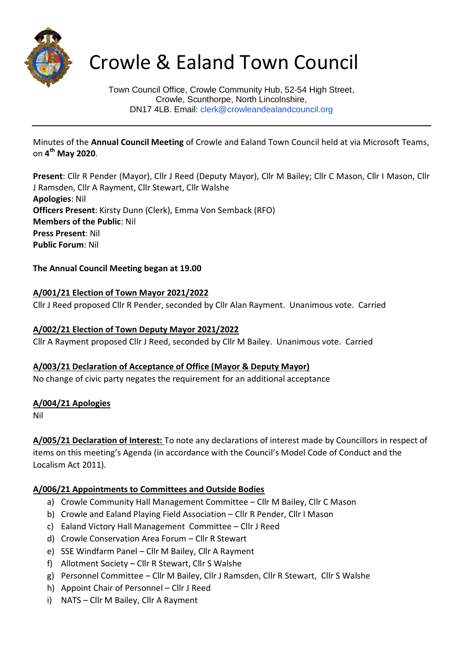

# Crowle & Ealand Town Council

Town Council Office, Crowle Community Hub, 52-54 High Street, Crowle, Scunthorpe, North Lincolnshire, DN17 4LB. Email: clerk@crowleandealandcouncil.org

Minutes of the **Annual Council Meeting** of Crowle and Ealand Town Council held at via Microsoft Teams, on **4 th May 2020**.

**Present**: Cllr R Pender (Mayor), Cllr J Reed (Deputy Mayor), Cllr M Bailey; Cllr C Mason, Cllr I Mason, Cllr J Ramsden, Cllr A Rayment, Cllr Stewart, Cllr Walshe **Apologies**: Nil **Officers Present**: Kirsty Dunn (Clerk), Emma Von Semback (RFO) **Members of the Public**: Nil **Press Present**: Nil **Public Forum**: Nil

**The Annual Council Meeting began at 19.00**

# **A/001/21 Election of Town Mayor 2021/2022**

Cllr J Reed proposed Cllr R Pender, seconded by Cllr Alan Rayment. Unanimous vote. Carried

# **A/002/21 Election of Town Deputy Mayor 2021/2022**

Cllr A Rayment proposed Cllr J Reed, seconded by Cllr M Bailey. Unanimous vote. Carried

# **A/003/21 Declaration of Acceptance of Office (Mayor & Deputy Mayor)**

No change of civic party negates the requirement for an additional acceptance

#### **A/004/21 Apologies**

Nil

**A/005/21 Declaration of Interest:** To note any declarations of interest made by Councillors in respect of items on this meeting's Agenda (in accordance with the Council's Model Code of Conduct and the Localism Act 2011).

# **A/006/21 Appointments to Committees and Outside Bodies**

- a) Crowle Community Hall Management Committee Cllr M Bailey, Cllr C Mason
- b) Crowle and Ealand Playing Field Association Cllr R Pender, Cllr I Mason
- c) Ealand Victory Hall Management Committee Cllr J Reed
- d) Crowle Conservation Area Forum Cllr R Stewart
- e) SSE Windfarm Panel Cllr M Bailey, Cllr A Rayment
- f) Allotment Society Cllr R Stewart, Cllr S Walshe
- g) Personnel Committee Cllr M Bailey, Cllr J Ramsden, Cllr R Stewart, Cllr S Walshe
- h) Appoint Chair of Personnel Cllr J Reed
- i) NATS Cllr M Bailey, Cllr A Rayment